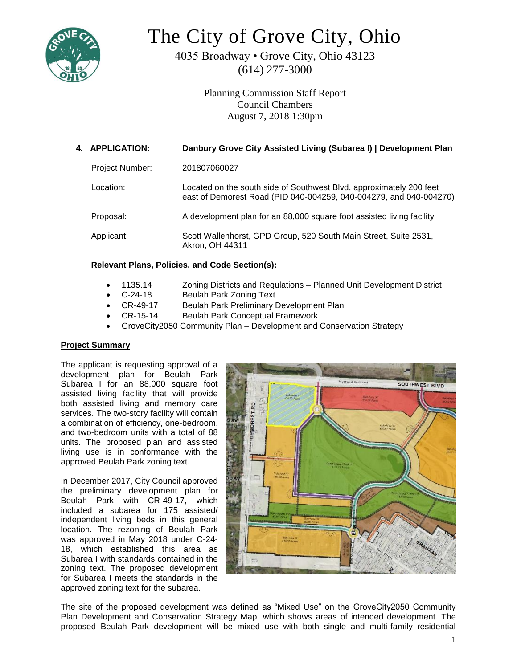

# The City of Grove City, Ohio

4035 Broadway • Grove City, Ohio 43123 (614) 277-3000

> Planning Commission Staff Report Council Chambers August 7, 2018 1:30pm

| 4. APPLICATION:        | Danbury Grove City Assisted Living (Subarea I)   Development Plan                                                                         |
|------------------------|-------------------------------------------------------------------------------------------------------------------------------------------|
| <b>Project Number:</b> | 201807060027                                                                                                                              |
| Location: ⊦            | Located on the south side of Southwest Blvd, approximately 200 feet<br>east of Demorest Road (PID 040-004259, 040-004279, and 040-004270) |
| Proposal:              | A development plan for an 88,000 square foot assisted living facility                                                                     |
| Applicant:             | Scott Wallenhorst, GPD Group, 520 South Main Street, Suite 2531,<br>Akron, OH 44311                                                       |

# **Relevant Plans, Policies, and Code Section(s):**

- 1135.14 Zoning Districts and Regulations Planned Unit Development District
- C-24-18 Beulah Park Zoning Text
- CR-49-17 Beulah Park Preliminary Development Plan
- CR-15-14 Beulah Park Conceptual Framework
- GroveCity2050 Community Plan Development and Conservation Strategy

# **Project Summary**

The applicant is requesting approval of a development plan for Beulah Park Subarea I for an 88,000 square foot assisted living facility that will provide both assisted living and memory care services. The two-story facility will contain a combination of efficiency, one-bedroom, and two-bedroom units with a total of 88 units. The proposed plan and assisted living use is in conformance with the approved Beulah Park zoning text.

In December 2017, City Council approved the preliminary development plan for Beulah Park with CR-49-17, which included a subarea for 175 assisted/ independent living beds in this general location. The rezoning of Beulah Park was approved in May 2018 under C-24- 18, which established this area as Subarea I with standards contained in the zoning text. The proposed development for Subarea I meets the standards in the approved zoning text for the subarea.



The site of the proposed development was defined as "Mixed Use" on the GroveCity2050 Community Plan Development and Conservation Strategy Map, which shows areas of intended development. The proposed Beulah Park development will be mixed use with both single and multi-family residential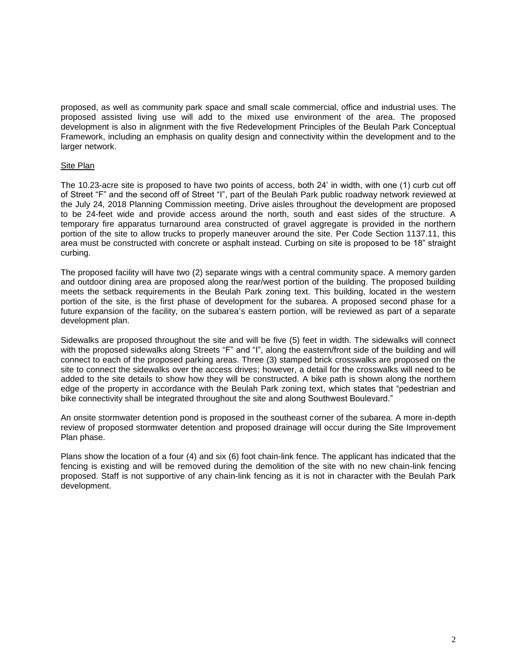proposed, as well as community park space and small scale commercial, office and industrial uses. The proposed assisted living use will add to the mixed use environment of the area. The proposed development is also in alignment with the five Redevelopment Principles of the Beulah Park Conceptual Framework, including an emphasis on quality design and connectivity within the development and to the larger network.

#### Site Plan

The 10.23-acre site is proposed to have two points of access, both 24' in width, with one (1) curb cut off of Street "F" and the second off of Street "I", part of the Beulah Park public roadway network reviewed at the July 24, 2018 Planning Commission meeting. Drive aisles throughout the development are proposed to be 24-feet wide and provide access around the north, south and east sides of the structure. A temporary fire apparatus turnaround area constructed of gravel aggregate is provided in the northern portion of the site to allow trucks to properly maneuver around the site. Per Code Section 1137.11, this area must be constructed with concrete or asphalt instead. Curbing on site is proposed to be 18" straight curbing.

The proposed facility will have two (2) separate wings with a central community space. A memory garden and outdoor dining area are proposed along the rear/west portion of the building. The proposed building meets the setback requirements in the Beulah Park zoning text. This building, located in the western portion of the site, is the first phase of development for the subarea. A proposed second phase for a future expansion of the facility, on the subarea's eastern portion, will be reviewed as part of a separate development plan.

Sidewalks are proposed throughout the site and will be five (5) feet in width. The sidewalks will connect with the proposed sidewalks along Streets "F" and "I", along the eastern/front side of the building and will connect to each of the proposed parking areas. Three (3) stamped brick crosswalks are proposed on the site to connect the sidewalks over the access drives; however, a detail for the crosswalks will need to be added to the site details to show how they will be constructed. A bike path is shown along the northern edge of the property in accordance with the Beulah Park zoning text, which states that "pedestrian and bike connectivity shall be integrated throughout the site and along Southwest Boulevard."

An onsite stormwater detention pond is proposed in the southeast corner of the subarea. A more in-depth review of proposed stormwater detention and proposed drainage will occur during the Site Improvement Plan phase.

Plans show the location of a four (4) and six (6) foot chain-link fence. The applicant has indicated that the fencing is existing and will be removed during the demolition of the site with no new chain-link fencing proposed. Staff is not supportive of any chain-link fencing as it is not in character with the Beulah Park development.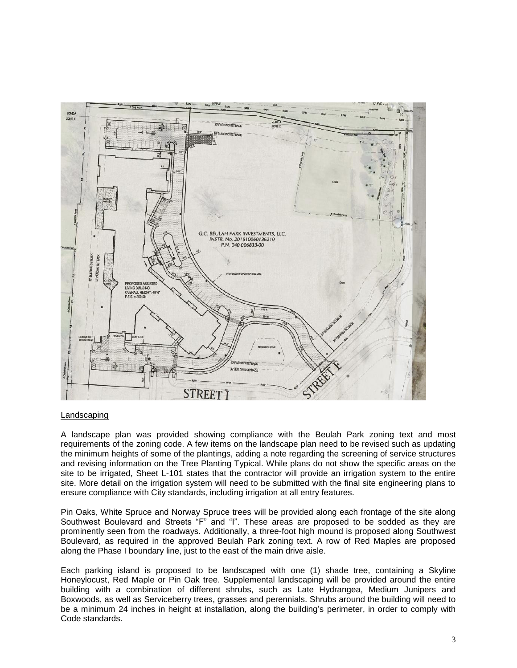

#### Landscaping

A landscape plan was provided showing compliance with the Beulah Park zoning text and most requirements of the zoning code. A few items on the landscape plan need to be revised such as updating the minimum heights of some of the plantings, adding a note regarding the screening of service structures and revising information on the Tree Planting Typical. While plans do not show the specific areas on the site to be irrigated, Sheet L-101 states that the contractor will provide an irrigation system to the entire site. More detail on the irrigation system will need to be submitted with the final site engineering plans to ensure compliance with City standards, including irrigation at all entry features.

Pin Oaks, White Spruce and Norway Spruce trees will be provided along each frontage of the site along Southwest Boulevard and Streets "F" and "I". These areas are proposed to be sodded as they are prominently seen from the roadways. Additionally, a three-foot high mound is proposed along Southwest Boulevard, as required in the approved Beulah Park zoning text. A row of Red Maples are proposed along the Phase I boundary line, just to the east of the main drive aisle.

Each parking island is proposed to be landscaped with one (1) shade tree, containing a Skyline Honeylocust, Red Maple or Pin Oak tree. Supplemental landscaping will be provided around the entire building with a combination of different shrubs, such as Late Hydrangea, Medium Junipers and Boxwoods, as well as Serviceberry trees, grasses and perennials. Shrubs around the building will need to be a minimum 24 inches in height at installation, along the building's perimeter, in order to comply with Code standards.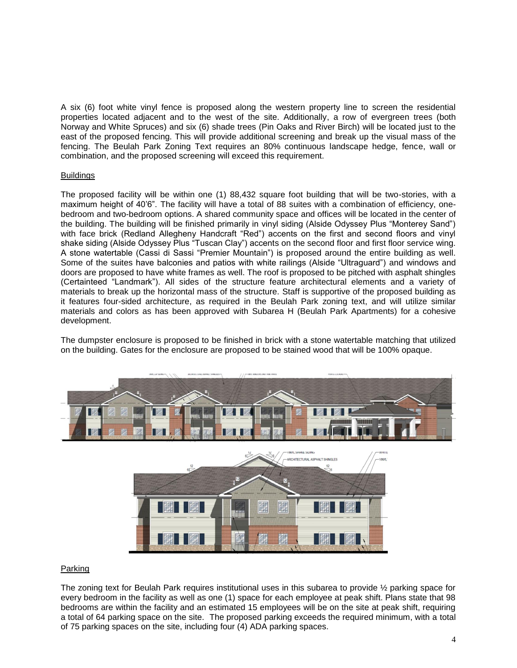A six (6) foot white vinyl fence is proposed along the western property line to screen the residential properties located adjacent and to the west of the site. Additionally, a row of evergreen trees (both Norway and White Spruces) and six (6) shade trees (Pin Oaks and River Birch) will be located just to the east of the proposed fencing. This will provide additional screening and break up the visual mass of the fencing. The Beulah Park Zoning Text requires an 80% continuous landscape hedge, fence, wall or combination, and the proposed screening will exceed this requirement.

#### Buildings

The proposed facility will be within one (1) 88,432 square foot building that will be two-stories, with a maximum height of 40'6". The facility will have a total of 88 suites with a combination of efficiency, onebedroom and two-bedroom options. A shared community space and offices will be located in the center of the building. The building will be finished primarily in vinyl siding (Alside Odyssey Plus "Monterey Sand") with face brick (Redland Allegheny Handcraft "Red") accents on the first and second floors and vinyl shake siding (Alside Odyssey Plus "Tuscan Clay") accents on the second floor and first floor service wing. A stone watertable (Cassi di Sassi "Premier Mountain") is proposed around the entire building as well. Some of the suites have balconies and patios with white railings (Alside "Ultraguard") and windows and doors are proposed to have white frames as well. The roof is proposed to be pitched with asphalt shingles (Certainteed "Landmark"). All sides of the structure feature architectural elements and a variety of materials to break up the horizontal mass of the structure. Staff is supportive of the proposed building as it features four-sided architecture, as required in the Beulah Park zoning text, and will utilize similar materials and colors as has been approved with Subarea H (Beulah Park Apartments) for a cohesive development.

The dumpster enclosure is proposed to be finished in brick with a stone watertable matching that utilized on the building. Gates for the enclosure are proposed to be stained wood that will be 100% opaque.



W

FX.

罪

# Parking

The zoning text for Beulah Park requires institutional uses in this subarea to provide ½ parking space for every bedroom in the facility as well as one (1) space for each employee at peak shift. Plans state that 98 bedrooms are within the facility and an estimated 15 employees will be on the site at peak shift, requiring a total of 64 parking space on the site. The proposed parking exceeds the required minimum, with a total of 75 parking spaces on the site, including four (4) ADA parking spaces.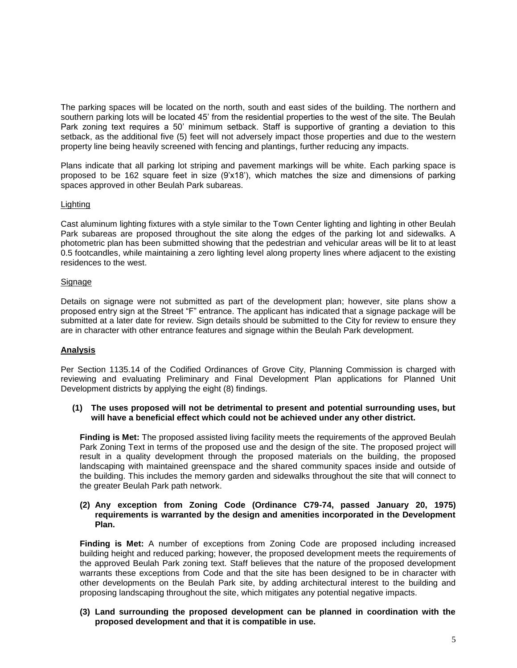The parking spaces will be located on the north, south and east sides of the building. The northern and southern parking lots will be located 45' from the residential properties to the west of the site. The Beulah Park zoning text requires a 50' minimum setback. Staff is supportive of granting a deviation to this setback, as the additional five (5) feet will not adversely impact those properties and due to the western property line being heavily screened with fencing and plantings, further reducing any impacts.

Plans indicate that all parking lot striping and pavement markings will be white. Each parking space is proposed to be 162 square feet in size (9'x18'), which matches the size and dimensions of parking spaces approved in other Beulah Park subareas.

# Lighting

Cast aluminum lighting fixtures with a style similar to the Town Center lighting and lighting in other Beulah Park subareas are proposed throughout the site along the edges of the parking lot and sidewalks. A photometric plan has been submitted showing that the pedestrian and vehicular areas will be lit to at least 0.5 footcandles, while maintaining a zero lighting level along property lines where adjacent to the existing residences to the west.

# **Signage**

Details on signage were not submitted as part of the development plan; however, site plans show a proposed entry sign at the Street "F" entrance. The applicant has indicated that a signage package will be submitted at a later date for review. Sign details should be submitted to the City for review to ensure they are in character with other entrance features and signage within the Beulah Park development.

# **Analysis**

Per Section 1135.14 of the Codified Ordinances of Grove City, Planning Commission is charged with reviewing and evaluating Preliminary and Final Development Plan applications for Planned Unit Development districts by applying the eight (8) findings.

#### **(1) The uses proposed will not be detrimental to present and potential surrounding uses, but will have a beneficial effect which could not be achieved under any other district.**

**Finding is Met:** The proposed assisted living facility meets the requirements of the approved Beulah Park Zoning Text in terms of the proposed use and the design of the site. The proposed project will result in a quality development through the proposed materials on the building, the proposed landscaping with maintained greenspace and the shared community spaces inside and outside of the building. This includes the memory garden and sidewalks throughout the site that will connect to the greater Beulah Park path network.

#### **(2) Any exception from Zoning Code (Ordinance C79-74, passed January 20, 1975) requirements is warranted by the design and amenities incorporated in the Development Plan.**

**Finding is Met:** A number of exceptions from Zoning Code are proposed including increased building height and reduced parking; however, the proposed development meets the requirements of the approved Beulah Park zoning text. Staff believes that the nature of the proposed development warrants these exceptions from Code and that the site has been designed to be in character with other developments on the Beulah Park site, by adding architectural interest to the building and proposing landscaping throughout the site, which mitigates any potential negative impacts.

**(3) Land surrounding the proposed development can be planned in coordination with the proposed development and that it is compatible in use.**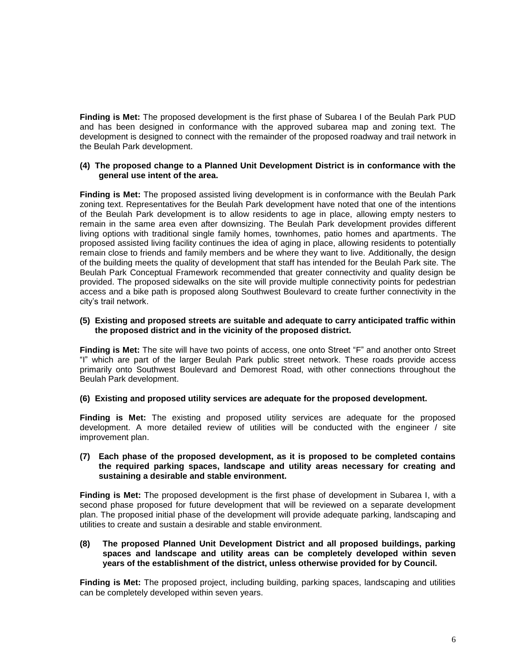**Finding is Met:** The proposed development is the first phase of Subarea I of the Beulah Park PUD and has been designed in conformance with the approved subarea map and zoning text. The development is designed to connect with the remainder of the proposed roadway and trail network in the Beulah Park development.

#### **(4) The proposed change to a Planned Unit Development District is in conformance with the general use intent of the area.**

**Finding is Met:** The proposed assisted living development is in conformance with the Beulah Park zoning text. Representatives for the Beulah Park development have noted that one of the intentions of the Beulah Park development is to allow residents to age in place, allowing empty nesters to remain in the same area even after downsizing. The Beulah Park development provides different living options with traditional single family homes, townhomes, patio homes and apartments. The proposed assisted living facility continues the idea of aging in place, allowing residents to potentially remain close to friends and family members and be where they want to live. Additionally, the design of the building meets the quality of development that staff has intended for the Beulah Park site. The Beulah Park Conceptual Framework recommended that greater connectivity and quality design be provided. The proposed sidewalks on the site will provide multiple connectivity points for pedestrian access and a bike path is proposed along Southwest Boulevard to create further connectivity in the city's trail network.

#### **(5) Existing and proposed streets are suitable and adequate to carry anticipated traffic within the proposed district and in the vicinity of the proposed district.**

**Finding is Met:** The site will have two points of access, one onto Street "F" and another onto Street "I" which are part of the larger Beulah Park public street network. These roads provide access primarily onto Southwest Boulevard and Demorest Road, with other connections throughout the Beulah Park development.

**(6) Existing and proposed utility services are adequate for the proposed development.**

**Finding is Met:** The existing and proposed utility services are adequate for the proposed development. A more detailed review of utilities will be conducted with the engineer / site improvement plan.

#### **(7) Each phase of the proposed development, as it is proposed to be completed contains the required parking spaces, landscape and utility areas necessary for creating and sustaining a desirable and stable environment.**

**Finding is Met:** The proposed development is the first phase of development in Subarea I, with a second phase proposed for future development that will be reviewed on a separate development plan. The proposed initial phase of the development will provide adequate parking, landscaping and utilities to create and sustain a desirable and stable environment.

#### **(8) The proposed Planned Unit Development District and all proposed buildings, parking spaces and landscape and utility areas can be completely developed within seven years of the establishment of the district, unless otherwise provided for by Council.**

**Finding is Met:** The proposed project, including building, parking spaces, landscaping and utilities can be completely developed within seven years.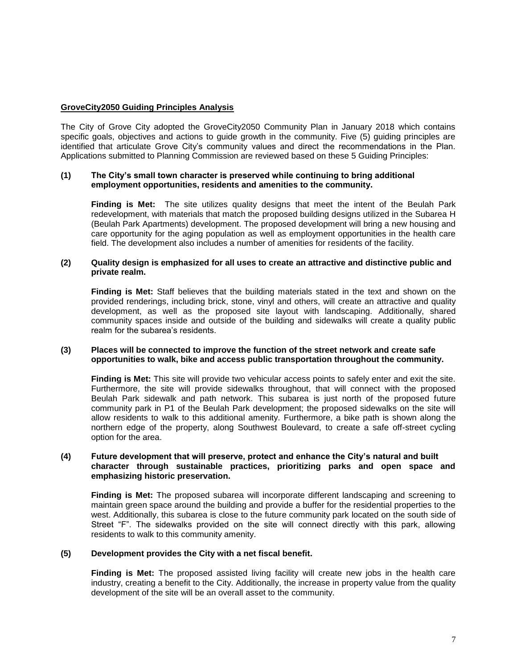# **GroveCity2050 Guiding Principles Analysis**

The City of Grove City adopted the GroveCity2050 Community Plan in January 2018 which contains specific goals, objectives and actions to guide growth in the community. Five (5) guiding principles are identified that articulate Grove City's community values and direct the recommendations in the Plan. Applications submitted to Planning Commission are reviewed based on these 5 Guiding Principles:

#### **(1) The City's small town character is preserved while continuing to bring additional employment opportunities, residents and amenities to the community.**

**Finding is Met:** The site utilizes quality designs that meet the intent of the Beulah Park redevelopment, with materials that match the proposed building designs utilized in the Subarea H (Beulah Park Apartments) development. The proposed development will bring a new housing and care opportunity for the aging population as well as employment opportunities in the health care field. The development also includes a number of amenities for residents of the facility.

#### **(2) Quality design is emphasized for all uses to create an attractive and distinctive public and private realm.**

**Finding is Met:** Staff believes that the building materials stated in the text and shown on the provided renderings, including brick, stone, vinyl and others, will create an attractive and quality development, as well as the proposed site layout with landscaping. Additionally, shared community spaces inside and outside of the building and sidewalks will create a quality public realm for the subarea's residents.

#### **(3) Places will be connected to improve the function of the street network and create safe opportunities to walk, bike and access public transportation throughout the community.**

**Finding is Met:** This site will provide two vehicular access points to safely enter and exit the site. Furthermore, the site will provide sidewalks throughout, that will connect with the proposed Beulah Park sidewalk and path network. This subarea is just north of the proposed future community park in P1 of the Beulah Park development; the proposed sidewalks on the site will allow residents to walk to this additional amenity. Furthermore, a bike path is shown along the northern edge of the property, along Southwest Boulevard, to create a safe off-street cycling option for the area.

#### **(4) Future development that will preserve, protect and enhance the City's natural and built character through sustainable practices, prioritizing parks and open space and emphasizing historic preservation.**

**Finding is Met:** The proposed subarea will incorporate different landscaping and screening to maintain green space around the building and provide a buffer for the residential properties to the west. Additionally, this subarea is close to the future community park located on the south side of Street "F". The sidewalks provided on the site will connect directly with this park, allowing residents to walk to this community amenity.

#### **(5) Development provides the City with a net fiscal benefit.**

**Finding is Met:** The proposed assisted living facility will create new jobs in the health care industry, creating a benefit to the City. Additionally, the increase in property value from the quality development of the site will be an overall asset to the community.